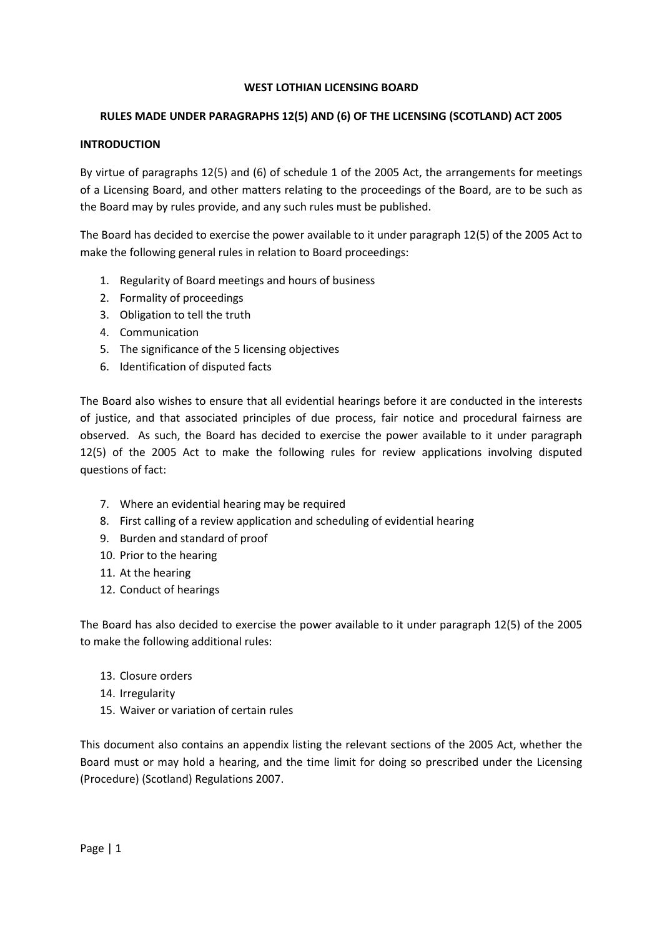### WEST LOTHIAN LICENSING BOARD

## RULES MADE UNDER PARAGRAPHS 12(5) AND (6) OF THE LICENSING (SCOTLAND) ACT 2005

### INTRODUCTION

By virtue of paragraphs 12(5) and (6) of schedule 1 of the 2005 Act, the arrangements for meetings of a Licensing Board, and other matters relating to the proceedings of the Board, are to be such as the Board may by rules provide, and any such rules must be published.

The Board has decided to exercise the power available to it under paragraph 12(5) of the 2005 Act to make the following general rules in relation to Board proceedings:

- 1. Regularity of Board meetings and hours of business
- 2. Formality of proceedings
- 3. Obligation to tell the truth
- 4. Communication
- 5. The significance of the 5 licensing objectives
- 6. Identification of disputed facts

The Board also wishes to ensure that all evidential hearings before it are conducted in the interests of justice, and that associated principles of due process, fair notice and procedural fairness are observed. As such, the Board has decided to exercise the power available to it under paragraph 12(5) of the 2005 Act to make the following rules for review applications involving disputed questions of fact:

- 7. Where an evidential hearing may be required
- 8. First calling of a review application and scheduling of evidential hearing
- 9. Burden and standard of proof
- 10. Prior to the hearing
- 11. At the hearing
- 12. Conduct of hearings

The Board has also decided to exercise the power available to it under paragraph 12(5) of the 2005 to make the following additional rules:

- 13. Closure orders
- 14. Irregularity
- 15. Waiver or variation of certain rules

This document also contains an appendix listing the relevant sections of the 2005 Act, whether the Board must or may hold a hearing, and the time limit for doing so prescribed under the Licensing (Procedure) (Scotland) Regulations 2007.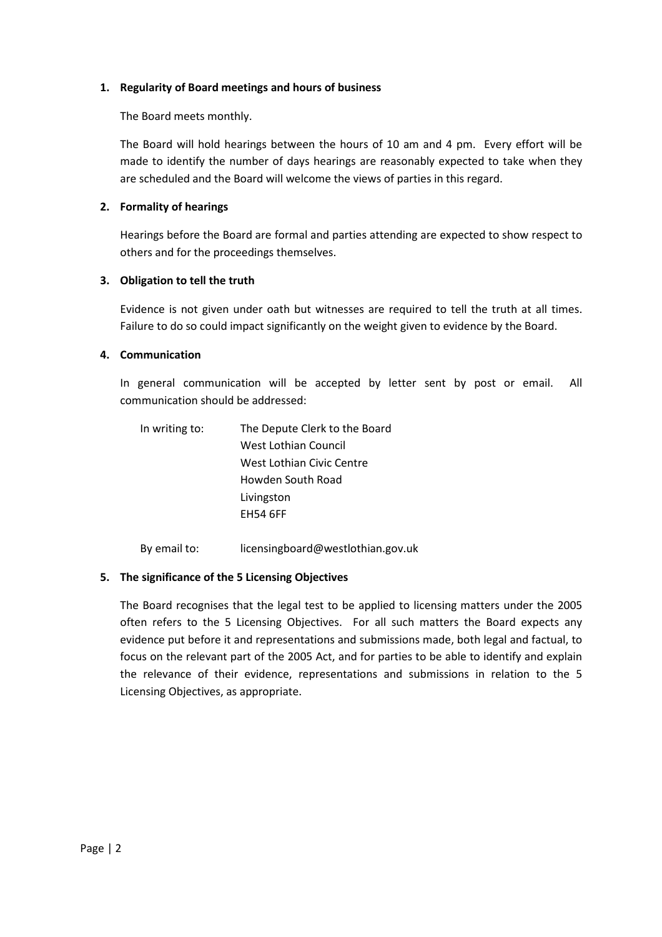### 1. Regularity of Board meetings and hours of business

The Board meets monthly.

The Board will hold hearings between the hours of 10 am and 4 pm. Every effort will be made to identify the number of days hearings are reasonably expected to take when they are scheduled and the Board will welcome the views of parties in this regard.

## 2. Formality of hearings

Hearings before the Board are formal and parties attending are expected to show respect to others and for the proceedings themselves.

## 3. Obligation to tell the truth

Evidence is not given under oath but witnesses are required to tell the truth at all times. Failure to do so could impact significantly on the weight given to evidence by the Board.

## 4. Communication

In general communication will be accepted by letter sent by post or email. All communication should be addressed:

| In writing to: | The Depute Clerk to the Board |  |
|----------------|-------------------------------|--|
|                | West Lothian Council          |  |
|                | West Lothian Civic Centre     |  |
|                | Howden South Road             |  |
|                | Livingston                    |  |
|                | <b>FH54 6FF</b>               |  |
|                |                               |  |

By email to: licensingboard@westlothian.gov.uk

# 5. The significance of the 5 Licensing Objectives

The Board recognises that the legal test to be applied to licensing matters under the 2005 often refers to the 5 Licensing Objectives. For all such matters the Board expects any evidence put before it and representations and submissions made, both legal and factual, to focus on the relevant part of the 2005 Act, and for parties to be able to identify and explain the relevance of their evidence, representations and submissions in relation to the 5 Licensing Objectives, as appropriate.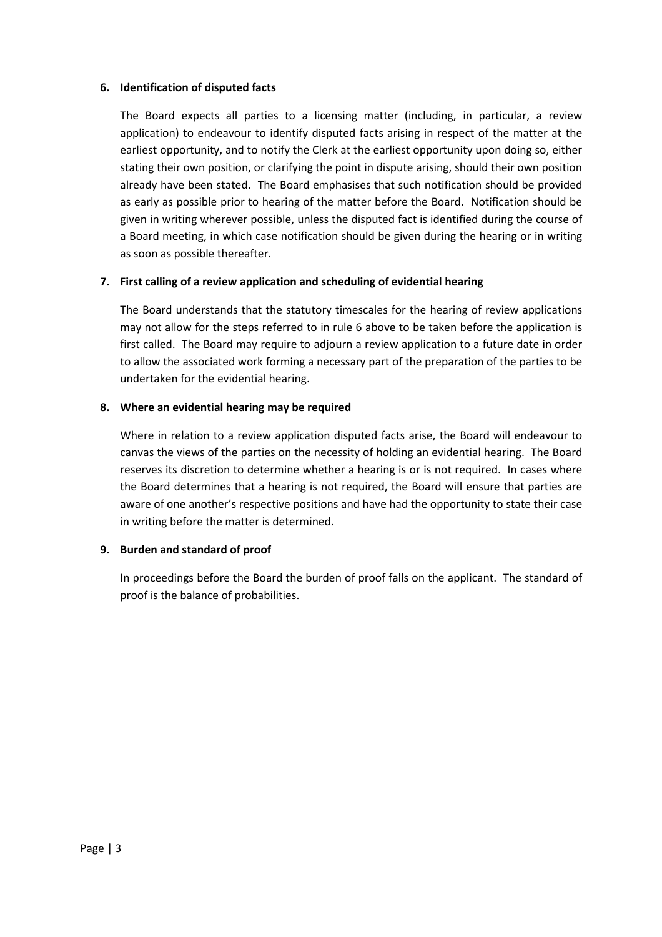### 6. Identification of disputed facts

The Board expects all parties to a licensing matter (including, in particular, a review application) to endeavour to identify disputed facts arising in respect of the matter at the earliest opportunity, and to notify the Clerk at the earliest opportunity upon doing so, either stating their own position, or clarifying the point in dispute arising, should their own position already have been stated. The Board emphasises that such notification should be provided as early as possible prior to hearing of the matter before the Board. Notification should be given in writing wherever possible, unless the disputed fact is identified during the course of a Board meeting, in which case notification should be given during the hearing or in writing as soon as possible thereafter.

# 7. First calling of a review application and scheduling of evidential hearing

The Board understands that the statutory timescales for the hearing of review applications may not allow for the steps referred to in rule 6 above to be taken before the application is first called. The Board may require to adjourn a review application to a future date in order to allow the associated work forming a necessary part of the preparation of the parties to be undertaken for the evidential hearing.

# 8. Where an evidential hearing may be required

Where in relation to a review application disputed facts arise, the Board will endeavour to canvas the views of the parties on the necessity of holding an evidential hearing. The Board reserves its discretion to determine whether a hearing is or is not required. In cases where the Board determines that a hearing is not required, the Board will ensure that parties are aware of one another's respective positions and have had the opportunity to state their case in writing before the matter is determined.

# 9. Burden and standard of proof

In proceedings before the Board the burden of proof falls on the applicant. The standard of proof is the balance of probabilities.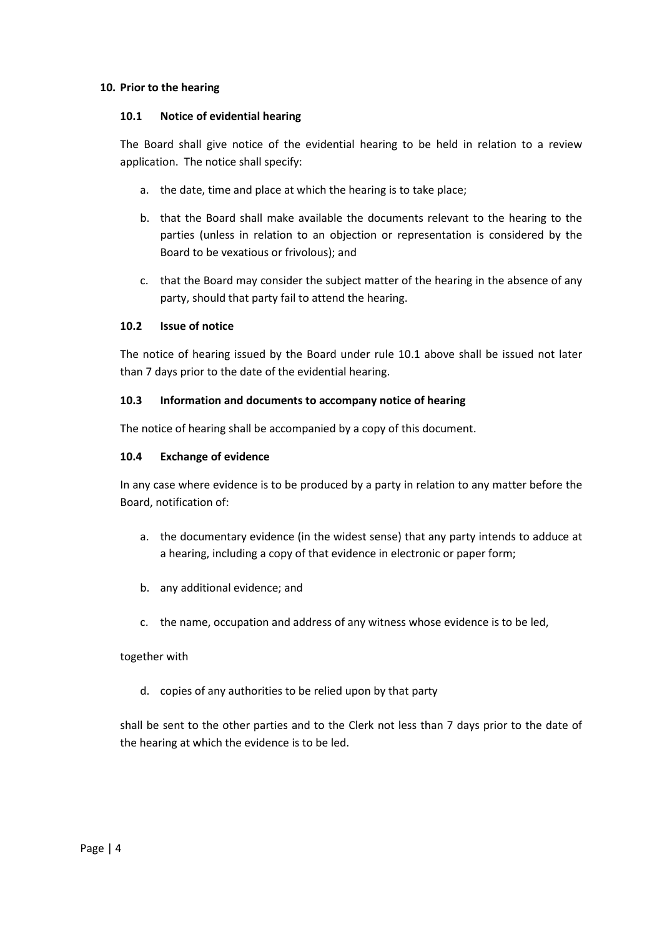#### 10. Prior to the hearing

#### 10.1 Notice of evidential hearing

The Board shall give notice of the evidential hearing to be held in relation to a review application. The notice shall specify:

- a. the date, time and place at which the hearing is to take place;
- b. that the Board shall make available the documents relevant to the hearing to the parties (unless in relation to an objection or representation is considered by the Board to be vexatious or frivolous); and
- c. that the Board may consider the subject matter of the hearing in the absence of any party, should that party fail to attend the hearing.

### 10.2 Issue of notice

The notice of hearing issued by the Board under rule 10.1 above shall be issued not later than 7 days prior to the date of the evidential hearing.

#### 10.3 Information and documents to accompany notice of hearing

The notice of hearing shall be accompanied by a copy of this document.

#### 10.4 Exchange of evidence

In any case where evidence is to be produced by a party in relation to any matter before the Board, notification of:

- a. the documentary evidence (in the widest sense) that any party intends to adduce at a hearing, including a copy of that evidence in electronic or paper form;
- b. any additional evidence; and
- c. the name, occupation and address of any witness whose evidence is to be led,

### together with

d. copies of any authorities to be relied upon by that party

shall be sent to the other parties and to the Clerk not less than 7 days prior to the date of the hearing at which the evidence is to be led.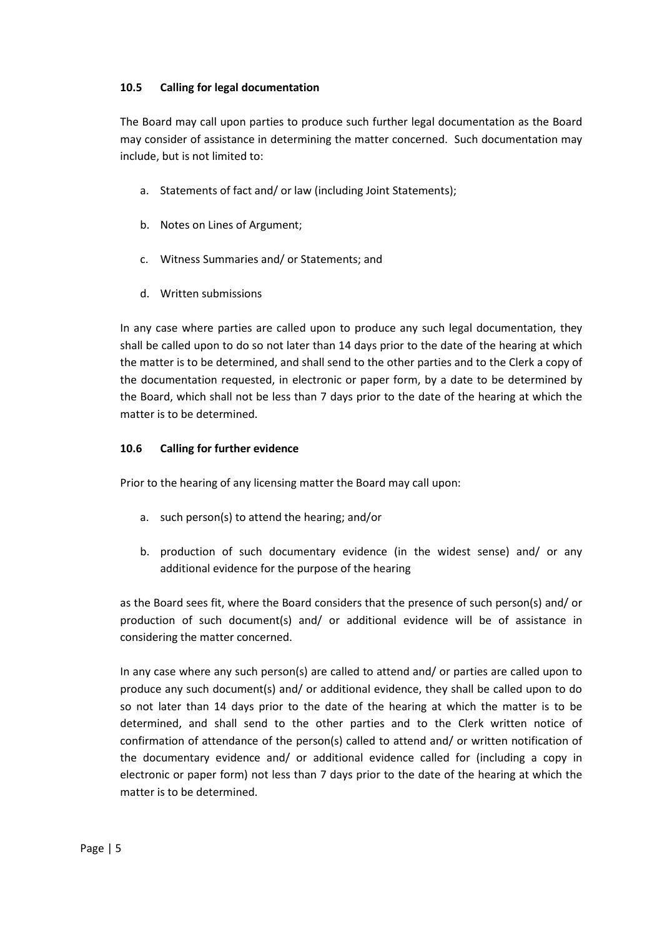## 10.5 Calling for legal documentation

The Board may call upon parties to produce such further legal documentation as the Board may consider of assistance in determining the matter concerned. Such documentation may include, but is not limited to:

- a. Statements of fact and/ or law (including Joint Statements);
- b. Notes on Lines of Argument;
- c. Witness Summaries and/ or Statements; and
- d. Written submissions

In any case where parties are called upon to produce any such legal documentation, they shall be called upon to do so not later than 14 days prior to the date of the hearing at which the matter is to be determined, and shall send to the other parties and to the Clerk a copy of the documentation requested, in electronic or paper form, by a date to be determined by the Board, which shall not be less than 7 days prior to the date of the hearing at which the matter is to be determined.

# 10.6 Calling for further evidence

Prior to the hearing of any licensing matter the Board may call upon:

- a. such person(s) to attend the hearing; and/or
- b. production of such documentary evidence (in the widest sense) and/ or any additional evidence for the purpose of the hearing

as the Board sees fit, where the Board considers that the presence of such person(s) and/ or production of such document(s) and/ or additional evidence will be of assistance in considering the matter concerned.

In any case where any such person(s) are called to attend and/ or parties are called upon to produce any such document(s) and/ or additional evidence, they shall be called upon to do so not later than 14 days prior to the date of the hearing at which the matter is to be determined, and shall send to the other parties and to the Clerk written notice of confirmation of attendance of the person(s) called to attend and/ or written notification of the documentary evidence and/ or additional evidence called for (including a copy in electronic or paper form) not less than 7 days prior to the date of the hearing at which the matter is to be determined.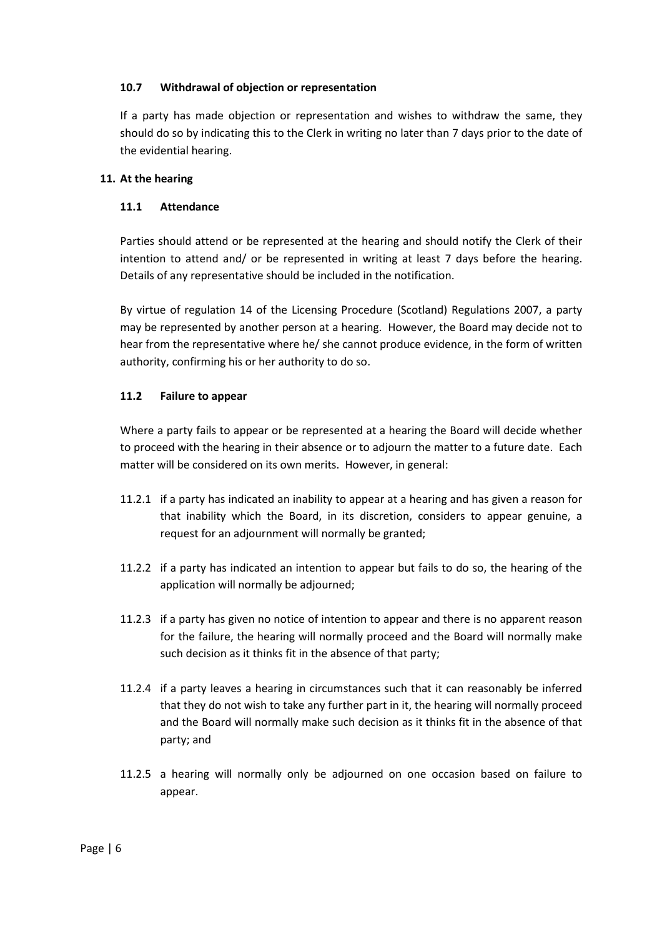## 10.7 Withdrawal of objection or representation

If a party has made objection or representation and wishes to withdraw the same, they should do so by indicating this to the Clerk in writing no later than 7 days prior to the date of the evidential hearing.

## 11. At the hearing

## 11.1 Attendance

Parties should attend or be represented at the hearing and should notify the Clerk of their intention to attend and/ or be represented in writing at least 7 days before the hearing. Details of any representative should be included in the notification.

By virtue of regulation 14 of the Licensing Procedure (Scotland) Regulations 2007, a party may be represented by another person at a hearing. However, the Board may decide not to hear from the representative where he/ she cannot produce evidence, in the form of written authority, confirming his or her authority to do so.

## 11.2 Failure to appear

Where a party fails to appear or be represented at a hearing the Board will decide whether to proceed with the hearing in their absence or to adjourn the matter to a future date. Each matter will be considered on its own merits. However, in general:

- 11.2.1 if a party has indicated an inability to appear at a hearing and has given a reason for that inability which the Board, in its discretion, considers to appear genuine, a request for an adjournment will normally be granted;
- 11.2.2 if a party has indicated an intention to appear but fails to do so, the hearing of the application will normally be adjourned;
- 11.2.3 if a party has given no notice of intention to appear and there is no apparent reason for the failure, the hearing will normally proceed and the Board will normally make such decision as it thinks fit in the absence of that party;
- 11.2.4 if a party leaves a hearing in circumstances such that it can reasonably be inferred that they do not wish to take any further part in it, the hearing will normally proceed and the Board will normally make such decision as it thinks fit in the absence of that party; and
- 11.2.5 a hearing will normally only be adjourned on one occasion based on failure to appear.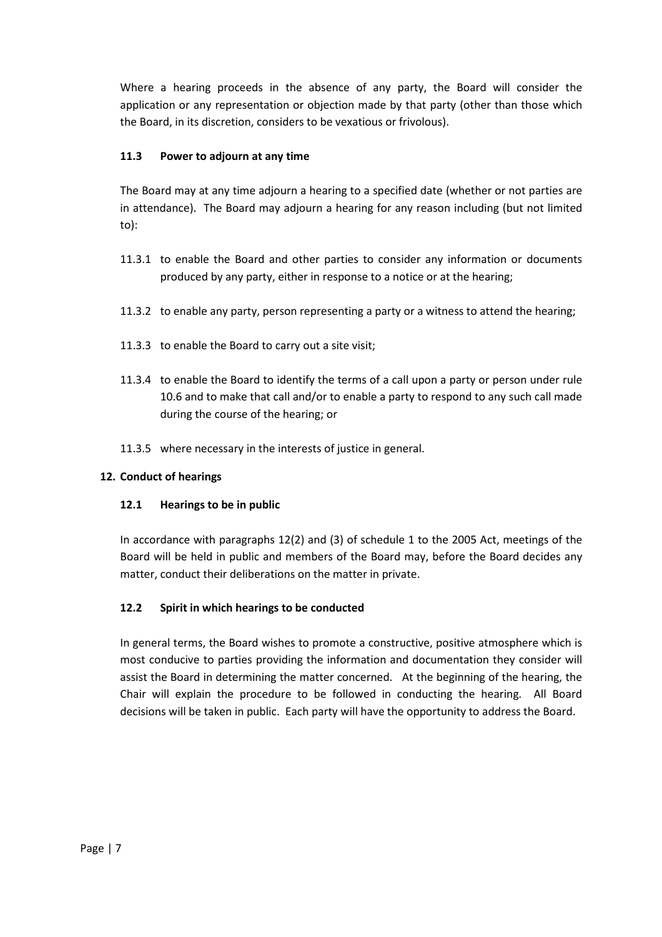Where a hearing proceeds in the absence of any party, the Board will consider the application or any representation or objection made by that party (other than those which the Board, in its discretion, considers to be vexatious or frivolous).

# 11.3 Power to adjourn at any time

The Board may at any time adjourn a hearing to a specified date (whether or not parties are in attendance). The Board may adjourn a hearing for any reason including (but not limited to):

- 11.3.1 to enable the Board and other parties to consider any information or documents produced by any party, either in response to a notice or at the hearing;
- 11.3.2 to enable any party, person representing a party or a witness to attend the hearing;
- 11.3.3 to enable the Board to carry out a site visit;
- 11.3.4 to enable the Board to identify the terms of a call upon a party or person under rule 10.6 and to make that call and/or to enable a party to respond to any such call made during the course of the hearing; or
- 11.3.5 where necessary in the interests of justice in general.

# 12. Conduct of hearings

# 12.1 Hearings to be in public

In accordance with paragraphs 12(2) and (3) of schedule 1 to the 2005 Act, meetings of the Board will be held in public and members of the Board may, before the Board decides any matter, conduct their deliberations on the matter in private.

# 12.2 Spirit in which hearings to be conducted

In general terms, the Board wishes to promote a constructive, positive atmosphere which is most conducive to parties providing the information and documentation they consider will assist the Board in determining the matter concerned. At the beginning of the hearing, the Chair will explain the procedure to be followed in conducting the hearing. All Board decisions will be taken in public. Each party will have the opportunity to address the Board.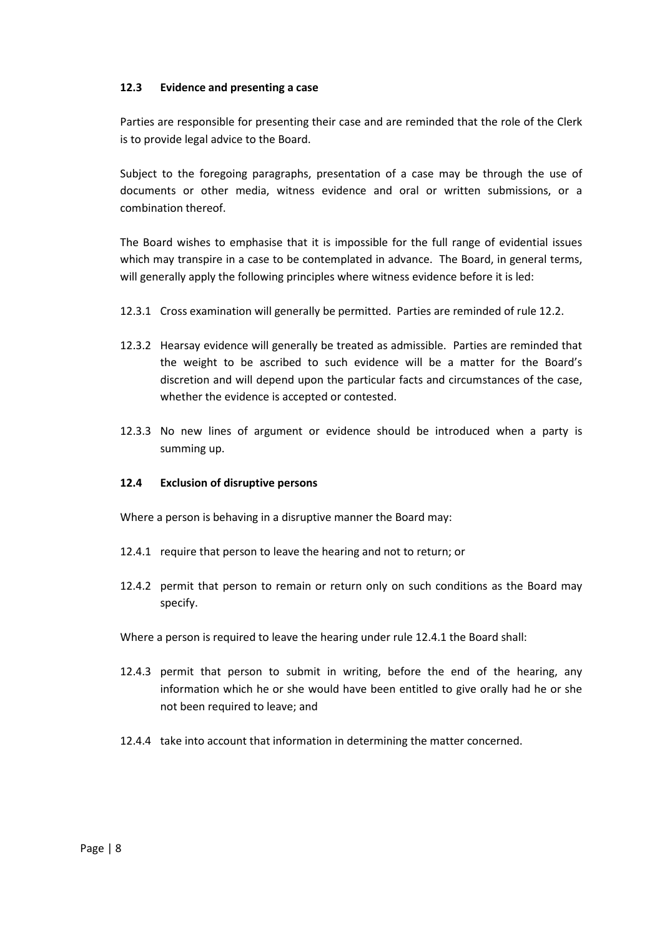### 12.3 Evidence and presenting a case

Parties are responsible for presenting their case and are reminded that the role of the Clerk is to provide legal advice to the Board.

Subject to the foregoing paragraphs, presentation of a case may be through the use of documents or other media, witness evidence and oral or written submissions, or a combination thereof.

The Board wishes to emphasise that it is impossible for the full range of evidential issues which may transpire in a case to be contemplated in advance. The Board, in general terms, will generally apply the following principles where witness evidence before it is led:

- 12.3.1 Cross examination will generally be permitted. Parties are reminded of rule 12.2.
- 12.3.2 Hearsay evidence will generally be treated as admissible. Parties are reminded that the weight to be ascribed to such evidence will be a matter for the Board's discretion and will depend upon the particular facts and circumstances of the case, whether the evidence is accepted or contested.
- 12.3.3 No new lines of argument or evidence should be introduced when a party is summing up.

### 12.4 Exclusion of disruptive persons

Where a person is behaving in a disruptive manner the Board may:

- 12.4.1 require that person to leave the hearing and not to return; or
- 12.4.2 permit that person to remain or return only on such conditions as the Board may specify.
- Where a person is required to leave the hearing under rule 12.4.1 the Board shall:
- 12.4.3 permit that person to submit in writing, before the end of the hearing, any information which he or she would have been entitled to give orally had he or she not been required to leave; and
- 12.4.4 take into account that information in determining the matter concerned.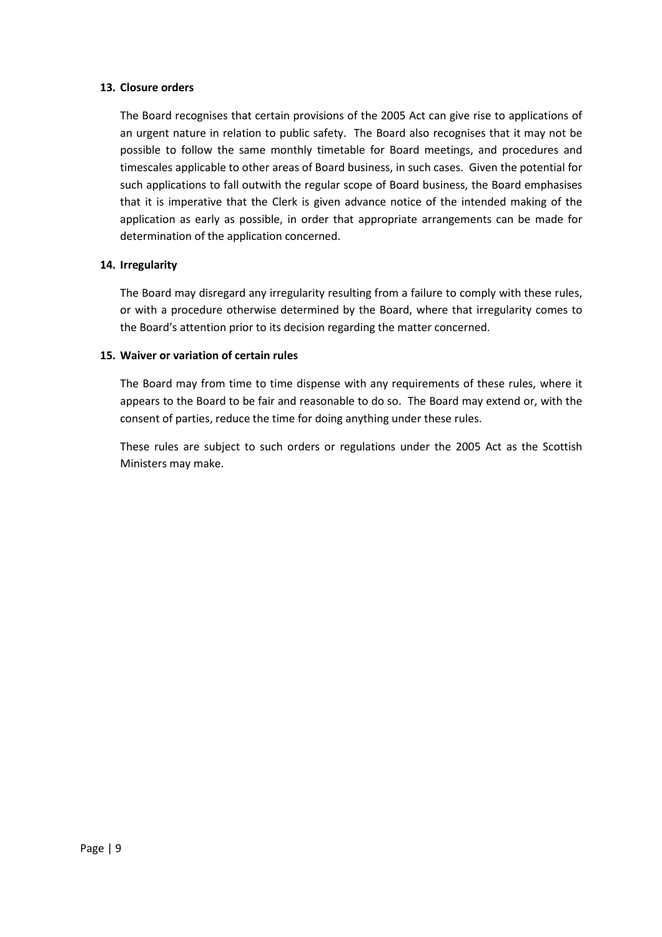### 13. Closure orders

The Board recognises that certain provisions of the 2005 Act can give rise to applications of an urgent nature in relation to public safety. The Board also recognises that it may not be possible to follow the same monthly timetable for Board meetings, and procedures and timescales applicable to other areas of Board business, in such cases. Given the potential for such applications to fall outwith the regular scope of Board business, the Board emphasises that it is imperative that the Clerk is given advance notice of the intended making of the application as early as possible, in order that appropriate arrangements can be made for determination of the application concerned.

### 14. Irregularity

The Board may disregard any irregularity resulting from a failure to comply with these rules, or with a procedure otherwise determined by the Board, where that irregularity comes to the Board's attention prior to its decision regarding the matter concerned.

#### 15. Waiver or variation of certain rules

The Board may from time to time dispense with any requirements of these rules, where it appears to the Board to be fair and reasonable to do so. The Board may extend or, with the consent of parties, reduce the time for doing anything under these rules.

These rules are subject to such orders or regulations under the 2005 Act as the Scottish Ministers may make.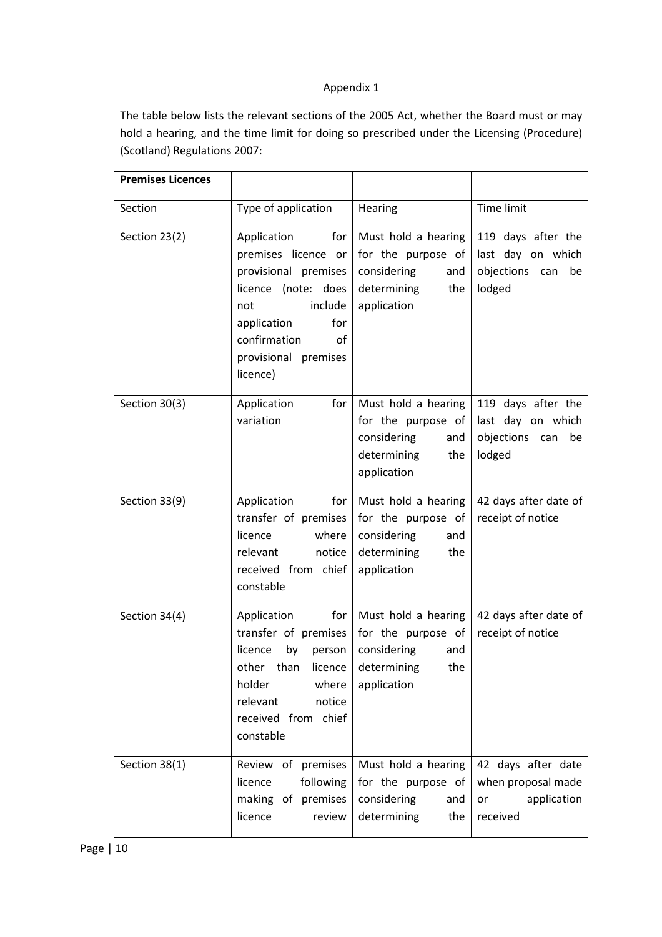# Appendix 1

The table below lists the relevant sections of the 2005 Act, whether the Board must or may hold a hearing, and the time limit for doing so prescribed under the Licensing (Procedure) (Scotland) Regulations 2007:

| <b>Premises Licences</b> |                                                                                                                                                                                            |                                                                                                                             |                                                                           |
|--------------------------|--------------------------------------------------------------------------------------------------------------------------------------------------------------------------------------------|-----------------------------------------------------------------------------------------------------------------------------|---------------------------------------------------------------------------|
| Section                  | Type of application                                                                                                                                                                        | Hearing                                                                                                                     | Time limit                                                                |
| Section 23(2)            | for<br>Application<br>premises licence or<br>provisional premises<br>licence (note: does<br>include<br>not<br>application<br>for<br>confirmation<br>of<br>provisional premises<br>licence) | Must hold a hearing<br>for the purpose of<br>considering<br>and<br>determining<br>the<br>application                        | 119 days after the<br>last day on which<br>objections can<br>be<br>lodged |
| Section 30(3)            | Application<br>for<br>variation                                                                                                                                                            | Must hold a hearing<br>for the purpose of<br>considering<br>and<br>determining<br>the<br>application                        | 119 days after the<br>last day on which<br>objections can<br>be<br>lodged |
| Section 33(9)            | Application<br>for<br>licence<br>where<br>notice<br>relevant<br>received from chief<br>constable                                                                                           | Must hold a hearing<br>transfer of premises   for the purpose of<br>considering<br>and<br>determining<br>the<br>application | 42 days after date of<br>receipt of notice                                |
| Section 34(4)            | <b>Example 1</b><br>Application<br>transfer of premises<br>by<br>licence<br>person<br>other than<br>licence<br>holder<br>where<br>relevant<br>notice<br>received from chief<br>constable   | Must hold a hearing<br>for the purpose of<br>considering<br>and<br>determining<br>the<br>application                        | 42 days after date of<br>receipt of notice                                |
| Section 38(1)            | Review of premises<br>following<br>licence<br>making of premises<br>licence<br>review                                                                                                      | Must hold a hearing<br>for the purpose of<br>considering<br>and<br>determining<br>the                                       | 42 days after date<br>when proposal made<br>application<br>or<br>received |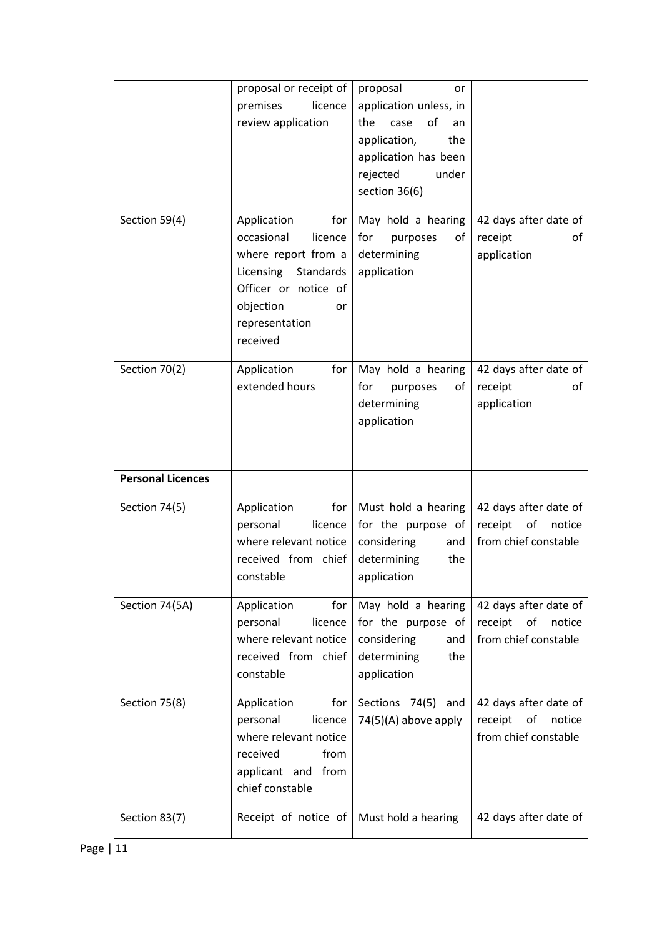|                          | proposal or receipt of<br>premises<br>licence<br>review application                                                                                                | proposal<br>or<br>application unless, in<br>of<br>the<br>case<br>an<br>application,<br>the<br>application has been<br>rejected<br>under<br>section 36(6) |                                                                          |
|--------------------------|--------------------------------------------------------------------------------------------------------------------------------------------------------------------|----------------------------------------------------------------------------------------------------------------------------------------------------------|--------------------------------------------------------------------------|
| Section 59(4)            | Application<br>for<br>occasional<br>licence<br>where report from a<br>Licensing Standards<br>Officer or notice of<br>objection<br>or<br>representation<br>received | May hold a hearing<br>for<br>purposes<br>οf<br>determining<br>application                                                                                | 42 days after date of<br>receipt<br>οf<br>application                    |
| Section 70(2)            | Application<br>for<br>extended hours                                                                                                                               | May hold a hearing<br>for<br>оf<br>purposes<br>determining<br>application                                                                                | 42 days after date of<br>receipt<br>οf<br>application                    |
| <b>Personal Licences</b> |                                                                                                                                                                    |                                                                                                                                                          |                                                                          |
| Section 74(5)            | Application<br>for<br>personal<br>licence<br>where relevant notice<br>received from chief<br>constable                                                             | Must hold a hearing<br>for the purpose of<br>considering<br>and<br>determining<br>the<br>application                                                     | 42 days after date of<br>receipt<br>of<br>notice<br>from chief constable |
| Section 74(5A)           | for<br>Application<br>personal<br>licence<br>where relevant notice<br>received from chief<br>constable                                                             | May hold a hearing<br>for the purpose of<br>considering<br>and<br>determining<br>the<br>application                                                      | 42 days after date of<br>receipt<br>of<br>notice<br>from chief constable |
| Section 75(8)            | Application<br>for<br>personal<br>licence<br>where relevant notice<br>received<br>from<br>applicant and from<br>chief constable                                    | Sections 74(5) and<br>74(5)(A) above apply                                                                                                               | 42 days after date of<br>of<br>receipt<br>notice<br>from chief constable |
| Section 83(7)            | Receipt of notice of                                                                                                                                               | Must hold a hearing                                                                                                                                      | 42 days after date of                                                    |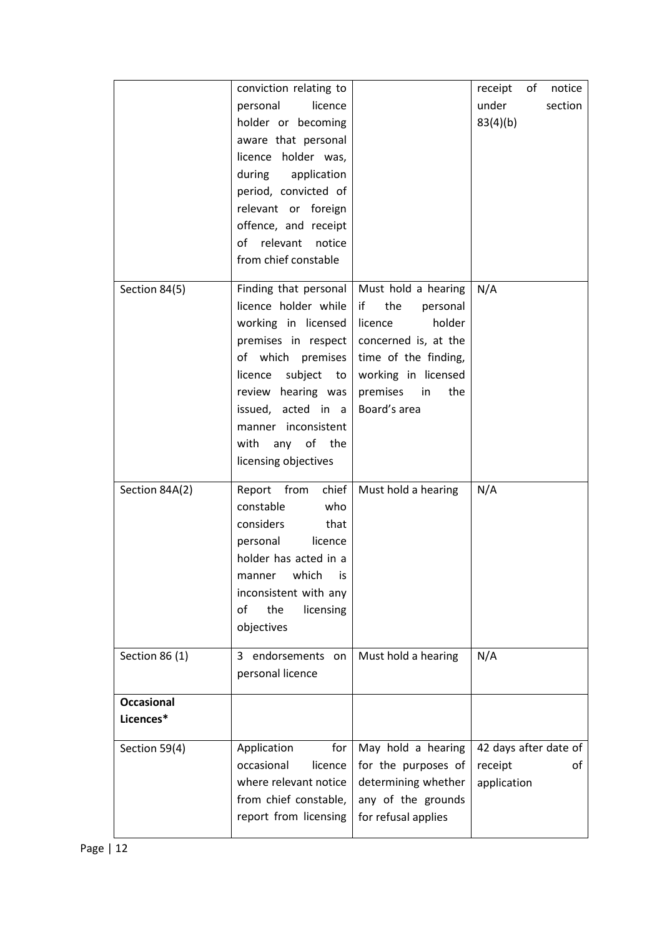|                                | conviction relating to<br>personal<br>licence<br>holder or becoming<br>aware that personal<br>licence holder was,<br>during<br>application<br>period, convicted of<br>relevant or foreign<br>offence, and receipt<br>relevant<br>notice<br>of<br>from chief constable |                                                                                                                                                                                   | of<br>notice<br>receipt<br>under<br>section<br>83(4)(b) |
|--------------------------------|-----------------------------------------------------------------------------------------------------------------------------------------------------------------------------------------------------------------------------------------------------------------------|-----------------------------------------------------------------------------------------------------------------------------------------------------------------------------------|---------------------------------------------------------|
| Section 84(5)                  | Finding that personal<br>licence holder while<br>working in licensed<br>premises in respect<br>of which premises<br>licence<br>subject<br>to<br>review hearing was<br>issued, acted in a<br>manner inconsistent<br>any of the<br>with<br>licensing objectives         | Must hold a hearing<br>if<br>the<br>personal<br>holder<br>licence<br>concerned is, at the<br>time of the finding,<br>working in licensed<br>premises<br>in<br>the<br>Board's area | N/A                                                     |
| Section 84A(2)                 | Report from<br>chief<br>constable<br>who<br>considers<br>that<br>licence<br>personal<br>holder has acted in a<br>manner which is<br>inconsistent with any<br>the<br>οf<br>licensing<br>objectives                                                                     | Must hold a hearing                                                                                                                                                               | N/A                                                     |
| Section 86 (1)                 | endorsements on<br>3.<br>personal licence                                                                                                                                                                                                                             | Must hold a hearing                                                                                                                                                               | N/A                                                     |
| <b>Occasional</b><br>Licences* |                                                                                                                                                                                                                                                                       |                                                                                                                                                                                   |                                                         |
| Section 59(4)                  | Application<br>for<br>occasional<br>licence<br>where relevant notice<br>from chief constable,<br>report from licensing                                                                                                                                                | May hold a hearing<br>for the purposes of<br>determining whether<br>any of the grounds<br>for refusal applies                                                                     | 42 days after date of<br>receipt<br>οf<br>application   |